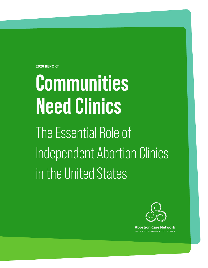**2020 REPORT**

# **Communities Need Clinics**

The Essential Role of Independent Abortion Clinics in the United States



**Abortion Care Network** ARE STRONGER TOGETHEI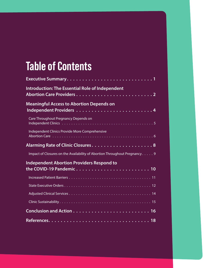## **Table of Contents**

| Executive Summary1                                                         |
|----------------------------------------------------------------------------|
| <b>Introduction: The Essential Role of Independent</b>                     |
| <b>Meaningful Access to Abortion Depends on</b>                            |
| Care Throughout Pregnancy Depends on                                       |
| Independent Clinics Provide More Comprehensive                             |
|                                                                            |
| Impact of Closures on the Availability of Abortion Throughout Pregnancy. 9 |
| <b>Independent Abortion Providers Respond to</b>                           |
|                                                                            |
|                                                                            |
|                                                                            |
|                                                                            |
|                                                                            |
|                                                                            |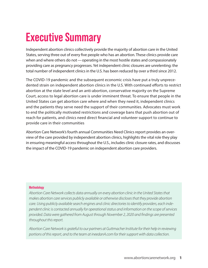### <span id="page-2-0"></span>**Executive Summary**

Independent abortion clinics collectively provide the majority of abortion care in the United States, serving three out of every five people who has an abortion. These clinics provide care when and where others do not—operating in the most hostile states and compassionately providing care as pregnancy progresses. Yet independent clinic closures are unrelenting: the total number of independent clinics in the U.S. has been reduced by over a third since 2012.

The COVID-19 pandemic and the subsequent economic crisis have put a truly unprecedented strain on independent abortion clinics in the U.S. With continued efforts to restrict abortion at the state level and an anti-abortion, conservative majority on the Supreme Court, access to legal abortion care is under imminent threat. To ensure that people in the United States can get abortion care where and when they need it, independent clinics and the patients they serve need the support of their communities. Advocates must work to end the politically motivated restrictions and coverage bans that push abortion out of reach for patients, and clinics need direct financial and volunteer support to continue to provide care in their communities

Abortion Care Network's fourth annual Communities Need Clinics report provides an overview of the care provided by independent abortion clinics, highlights the vital role they play in ensuring meaningful access throughout the U.S., includes clinic closure rates, and discusses the impact of the COVID-19 pandemic on independent abortion care providers.

#### **Methodology**

*Abortion Care Network collects data annually on every abortion clinic in the United States that makes abortion care services publicly available or otherwise discloses that they provide abortion care. Using publicly available search engines and clinic directories to identify providers, each independent clinic is contacted annually for operational status and information on the scope of services provided. Data were gathered from August through November 2, 2020 and findings are presented throughout this report.*

*Abortion Care Network is grateful to our partners at Guttmacher Institute for their help in reviewing portions of this report, and to the team at ineedanA.com for their support with data collection.*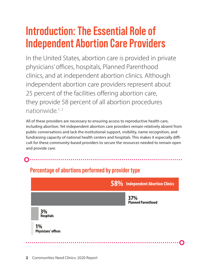### <span id="page-3-0"></span>**Introduction: The Essential Role of Independent Abortion Care Providers**

In the United States, abortion care is provided in private physicians' offices, hospitals, Planned Parenthood clinics, and at independent abortion clinics. Although independent abortion care providers represent about 25 percent of the facilities offering abortion care, they provide 58 percent of all abortion procedures nationwide. 1, 2

All of these providers are necessary to ensuring access to reproductive health care, including abortion. Yet independent abortion care providers remain relatively absent from public conversations and lack the institutional support, visibility, name recognition, and fundraising capacity of national health centers and hospitals. This makes it especially difficult for these community-based providers to secure the resources needed to remain open and provide care.

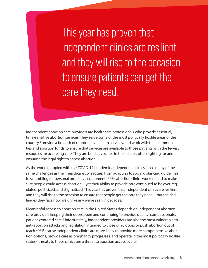This year has proven that independent clinics are resilient and they will rise to the occasion to ensure patients can get the care they need.

Independent abortion care providers are healthcare professionals who provide essential, time-sensitive abortion services. They serve some of the most politically hostile areas of the country,<sup>3</sup> provide a breadth of reproductive health services, and work with their communities and abortion funds to ensure that services are available to those patients with the fewest resources for accessing care. They are bold advocates in their states, often fighting for and ensuring the legal right to access abortion.

As the world grappled with the COVID-19 pandemic, independent clinics faced many of the same challenges as their healthcare colleagues. From adapting to social distancing guidelines to scrambling for personal protective equipment (PPE), abortion clinics worked hard to make sure people could access abortion—yet their ability to provide care continued to be over-regulated, politicized, and stigmatized. This year has proven that independent clinics are resilient and they will rise to the occasion to ensure that people get the care they need—but the challenges they face now are unlike any we've seen in decades.

Meaningful access to abortion care in the United States depends on independent abortion care providers keeping their doors open and continuing to provide quality, compassionate, patient-centered care. Unfortunately, independent providers are also the most vulnerable to anti-abortion attacks and legislation intended to close clinic doors or push abortion out of reach.<sup>3,4,5</sup> Because independent clinics are more likely to provide more comprehensive abortion options, provide care as pregnancy progresses, and operate in the most politically hostile states,<sup>3</sup> threats to these clinics are a threat to abortion access overall.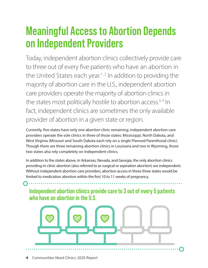### <span id="page-5-0"></span>**Meaningful Access to Abortion Depends on Independent Providers**

Today, independent abortion clinics collectively provide care to three out of every five patients who have an abortion in the United States each year.<sup>1, 2</sup> In addition to providing the majority of abortion care in the U.S., independent abortion care providers operate the majority of abortion clinics in the states most politically hostile to abortion access.<sup>3,4</sup> In fact, independent clinics are sometimes the only available provider of abortion in a given state or region.

Currently, five states have only one abortion clinic remaining; independent abortion care providers operate the sole clinics in three of those states: Mississippi, North Dakota, and West Virginia (Missouri and South Dakota each rely on a single Planned Parenthood clinic). Though there are three remaining abortion clinics in Louisiana and two in Wyoming, those two states also rely completely on independent clinics.

In addition to the states above, in Arkansas, Nevada, and Georgia, the only abortion clinics providing in-clinic abortion (also referred to as surgical or aspiration abortion) are independent. Without independent abortion care providers, abortion access in these three states would be limited to medication abortion within the first 10 to 11 weeks of pregnancy.

**Independent abortion clinics provide care to 3 out of every 5 patients who have an abortion in the U.S.**

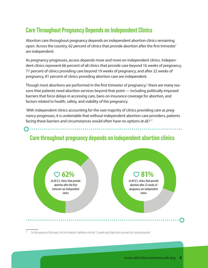#### <span id="page-6-0"></span>**Care Throughout Pregnancy Depends on Independent Clinics**

Abortion care throughout pregnancy depends on independent abortion clinics remaining open. Across the country, 62 percent of clinics that provide abortion after the first trimester\* are independent.

As pregnancy progresses, access depends more and more on independent clinics. Independent clinics represent 66 percent of all clinics that provide care beyond 16 weeks of pregnancy, 71 percent of clinics providing care beyond 19 weeks of pregnancy, and after 22 weeks of pregnancy, 81 percent of clinics providing abortion care are independent.

Though most abortions are performed in the first trimester of pregnancy,<sup>5</sup> there are many reasons that patients need abortion services beyond that point — including politically-imposed barriers that force delays in accessing care, bans on insurance coverage for abortion, and factors related to health, safety, and viability of the pregnancy.

With independent clinics accounting for the vast majority of clinics providing care as pregnancy progresses, it is undeniable that without independent abortion care providers, patients facing these barriers and circumstances would often have no options at all.<sup>6,7</sup>



#### **Care throughout pregnancy depends on independent abortion clinics**

*\* For the purposes of this report, the first trimester is defined as the first 12 weeks and 6 days from a person's last menstrual period.*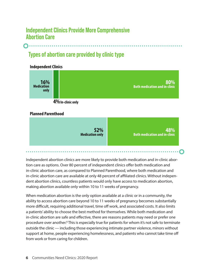#### <span id="page-7-0"></span>**Independent Clinics Provide More Comprehensive Abortion Care**

#### **Types of abortion care provided by clinic type**





#### **Planned Parenthood**



. . . . . . . . . .

Independent abortion clinics are more likely to provide both medication and in-clinic abortion care as options. Over 80 percent of independent clinics offer both medication and in-clinic abortion care, as compared to Planned Parenthood, where both medication and in-clinic abortion care are available at only 48 percent of affiliated clinics. Without independent abortion clinics, countless patients would only have access to medication abortion, making abortion available only within 10 to 11 weeks of pregnancy.

When medication abortion is the only option available at a clinic or in a community, the ability to access abortion care beyond 10 to 11 weeks of pregnancy becomes substantially more difficult, requiring additional travel, time off work, and associated costs. It also limits a patients' ability to choose the best method for themselves. While both medication and in-clinic abortion are safe and effective, there are reasons patients may need or prefer one procedure over another.<sup>8</sup> This is especially true for patients for whom it's not safe to terminate outside the clinic — including those experiencing intimate partner violence, minors without support at home, people experiencing homelessness, and patients who cannot take time off from work or from caring for children.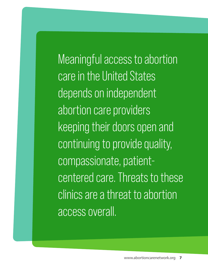Meaningful access to abortion care in the United States depends on independent abortion care providers keeping their doors open and continuing to provide quality, compassionate, patientcentered care. Threats to these clinics are a threat to abortion access overall.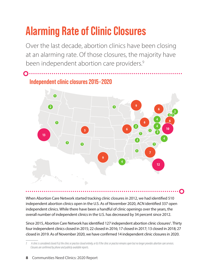# <span id="page-9-0"></span>**Alarming Rate of Clinic Closures**

Over the last decade, abortion clinics have been closing at an alarming rate. Of those closures, the majority have been independent abortion care providers.<sup>9</sup>

### **Independent clinic closures 2015-2020**



When Abortion Care Network started tracking clinic closures in 2012, we had identified 510 independent abortion clinics open in the U.S. As of November 2020, ACN identified 337 open independent clinics. While there have been a handful of clinic openings over the years, the overall number of independent clinics in the U.S. has decreased by 34 percent since 2012.

Since 2015, Abortion Care Network has identified 127 independent abortion clinic closures† . Thirty four independent clinics closed in 2015; 22 closed in 2016; 17 closed in 2017; 13 closed in 2018; 27 closed in 2019. As of November 2020, we have confirmed 14 independent clinic closures in 2020.

*<sup>†</sup> A clinic is considered closed if a) the clinic or practice closed entirely, or b) if the clinic or practice remains open but no longer provides abortion care services. Closures are confirmed by phone and publicly available reports.*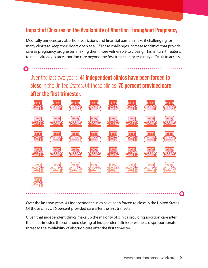#### <span id="page-10-0"></span>**Impact of Closures on the Availability of Abortion Throughout Pregnancy**

Medically unnecessary abortion restrictions and financial barriers make it challenging for many clinics to keep their doors open at all.<sup>10</sup> These challenges increase for clinics that provide care as pregnancy progresses, making them more vulnerable to closing. This, in turn threatens to make already-scarce abortion care beyond the first trimester increasingly difficult to access.

Over the last two years, **41 independent clinics have been forced to close**in the United States. Of those clinics,**76 percent provided care after the first trimester.**

 $\bigcap \cdot \cdot$ 



Over the last two years, 41 independent clinics have been forced to close in the United States. Of those clinics, 76 percent provided care after the first trimester.

Given that independent clinics make up the majority of clinics providing abortion care after the first trimester, the continued closing of independent clinics presents a disproportionate threat to the availability of abortion care after the first trimester.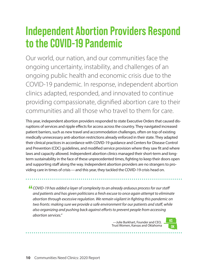### <span id="page-11-0"></span>**Independent Abortion Providers Respond to the COVID-19 Pandemic**

Our world, our nation, and our communities face the ongoing uncertainty, instability, and challenges of an ongoing public health and economic crisis due to the COVID-19 pandemic. In response, independent abortion clinics adapted, responded, and innovated to continue providing compassionate, dignified abortion care to their communities and all those who travel to them for care.

This year, independent abortion providers responded to state Executive Orders that caused disruptions of services and ripple effects for access across the country. They navigated increased patient barriers, such as new travel and accommodation challenges, often on top of existing medically unnecessary anti-abortion restrictions already enforced in their state. They adapted their clinical practices in accordance with COVID-19 guidance and Centers for Disease Control and Prevention (CDC) guidelines, and modified service provision where they saw fit and where laws and capacity allowed. Independent abortion clinics managed their short-term and longterm sustainability in the face of these unprecedented times, fighting to keep their doors open and supporting staff along the way. Independent abortion providers are no strangers to providing care in times of crisis—and this year, they tackled the COVID-19 crisis head on.

*COVID-19 has added a layer of complexity to an already arduous process for our staff and patients and has given politicians a fresh excuse to once again attempt to eliminate abortion through excessive regulation. We remain vigilant in fighting this pandemic on two fronts: making sure we provide a safe environment for our patients and staff, while also organizing and pushing back against efforts to prevent people from accessing abortion services."* 

> —Julie Burkhart, Founder and CEO, **KS OK** Trust Women, Kansas and Oklahoma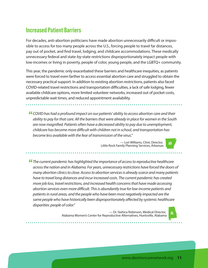#### <span id="page-12-0"></span>**Increased Patient Barriers**

For decades, anti-abortion politicians have made abortion unnecessarily difficult or impossible to access for too many people across the U.S., forcing people to travel far distances, pay out of pocket, and find travel, lodging, and childcare accommodations. These medically unnecessary federal and state-by-state restrictions disproportionately impact people with low-incomes or living in poverty, people of color, young people, and the LGBTQ+ community.

This year, the pandemic only exacerbated these barriers and healthcare inequities, as patients were forced to travel even farther to access essential abortion care and struggled to obtain the necessary practical support. In addition to existing abortion restrictions, patients also faced COVID-related travel restrictions and transportation difficulties, a lack of safe lodging, fewer available childcare options, more limited volunteer networks, increased out of pocket costs, unpredictable wait times, and reduced appointment availability.

*COVID has had a profound impact on our patients' ability to access abortion care and their ability to pay for that care. All the barriers that were already in place for women in the South are now magnified. Patients often have a decreased ability to pay due to unemployment, childcare has become more difficult with children not in school, and transportation has become less available with the fear of transmission of the virus."* 

— Lori Williams, Clinic Director, **AR** Little Rock Family Planning Services, Arkansas

*The current pandemic has highlighted the importance of access to reproductive healthcare across the nation and in Alabama. For years, unnecessary restrictions have forced the doors of many abortion clinics to close. Access to abortion services is already scarce and many patients have to travel long distances and incur increased costs. The current pandemic has created more job loss, travel restrictions, and increased health concerns that have made accessing abortion services even more difficult. This is abundantly true for low-income patients and patients in rural areas, and the people who have been most negatively impacted are the same people who have historically been disproportionately affected by systemic healthcare disparities: people of color."* 

— Dr. Yashica Robinson, Medical Director, **AL** Alabama Women's Center for Reproductive Alternatives, Huntsville, Alabama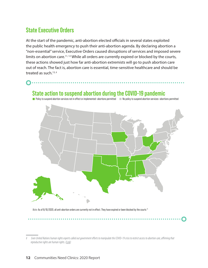#### <span id="page-13-0"></span>**State Executive Orders**

At the start of the pandemic, anti-abortion elected officials in several states exploited the public health emergency to push their anti-abortion agenda. By declaring abortion a "non-essential" service, Executive Orders caused disruptions of services and imposed severe limits on abortion care.<sup>11, 12</sup> While all orders are currently expired or blocked by the courts, these actions showed just how far anti-abortion extremists will go to push abortion care out of reach.The fact is, abortion care is essential, time-sensitive healthcare and should be treated as such.<sup>13,‡</sup>

#### **State action to suspend abortion during the COVID-19 pandemic**

■ Policy to suspend abortion services not in effect or implemented-abortions permitted ■ No policy to suspend abortion services-abortions permitted



*Note:* As of 8/10/2020, all anti-abortion orders are currently not in effect. They have expired or been blocked by the courts <sup>11</sup>

*<sup>‡</sup> Even United Nations human rights experts called out government efforts to manipulate the COVID-19 crisis to restrict access to abortion care, affirming that reproductive rights are human rights. [\(Link\)](https://spcommreports.ohchr.org/TMResultsBase/DownLoadPublicCommunicationFile?gId=25279)*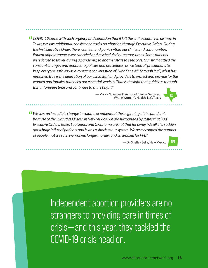*COVID-19 came with such urgency and confusion that it left the entire country in dismay. In Texas, we saw additional, consistent attacks on abortion through Executive Orders. During the first Executive Order, there was fear and panic within our clinics and communities. Patient appointments were canceled and rescheduled numerous times. Some patients were forced to travel, during a pandemic, to another state to seek care. Our staff battled the constant changes and updates to policies and procedures, as we took all precautions to keep everyone safe. It was a constant conversation of, 'what's next?' Through it all, what has remained true is the dedication of our clinic staff and providers to protect and provide for the women and families that need our essential services. That is the light that guides us through this unforeseen time and continues to shine bright."* 

— Marva N. Sadler, Director of Clinical Services, **TX** Whole Woman's Health, LLC, Texas

*We saw an incredible change in volume of patients at the beginning of the pandemic because of the Executive Orders. In New Mexico, we are surrounded by states that had Executive Orders; Texas, Louisiana, and Oklahoma are not that far away. We all of a sudden got a huge influx of patients and it was a shock to our system. We never capped the number of people that we saw; we worked longer, harder, and scrambled for PPE."* 

— Dr. Shelley Sella, New Mexico **NM**

Independent abortion providers are no strangers to providing care in times of crisis—and this year, they tackled the COVID-19 crisis head on.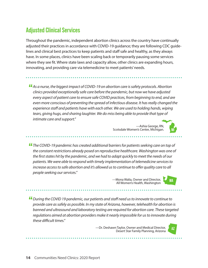#### <span id="page-15-0"></span>**Adjusted Clinical Services**

Throughout the pandemic, independent abortion clinics across the country have continually adjusted their practices in accordance with COVID-19 guidance; they are following CDC guidelines and clinical best practices to keep patients and staff safe and healthy, as they always have. In some places, clinics have been scaling back or temporarily pausing some services where they see fit. Where state laws and capacity allow, other clinics are expanding hours, innovating, and providing care via telemedicine to meet patients' needs.

*As a nurse, the biggest impact of COVID-19 on abortion care is safety protocols. Abortion clinics provided exceptionally safe care before the pandemic, but now we have adjusted every aspect of patient care to ensure safe COVID practices, from beginning to end, and are even more conscious of preventing the spread of infectious disease. It has really changed the experience staff and patients have with each other. We are used to holding hands, wiping tears, giving hugs, and sharing laughter. We do miss being able to provide that type of intimate care and support."* 

> —Ashia George, RN, Scotsdale Women's Center, Michigan.

*The COVID-19 pandemic has created additional barriers for patients seeking care on top of the constant restrictions already posed on reproductive healthcare. Washington was one of the first states hit by the pandemic, and we had to adapt quickly to meet the needs of our patients. We were able to respond with timely implementation of telemedicine services to increase access to safe abortion and it's allowed us to continue to offer quality care to all people seeking our services."*

—Mona Walia, Owner and Director, **WA** All Women's Health, Washington

*During the COVID 19 pandemic, our patients and staff need us to innovate to continue to provide care as safely as possible. In my state of Arizona, however, telehealth for abortion is banned and ultrasound and laboratory testing are required for abortion care. These targeted regulations aimed at abortion providers make it nearly impossible for us to innovate during these difficult times."* 

—Dr. Deshawn Taylor, Owner and Medical Director, **AZ** Desert Star Family Planning, Arizona

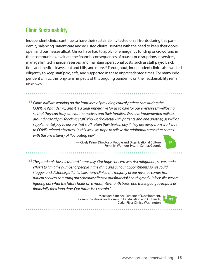#### <span id="page-16-0"></span>**Clinic Sustainability**

Independent clinics continue to have their sustainability tested on all fronts during this pandemic, balancing patient care and adjusted clinical services with the need to keep their doors open and businesses afloat. Clinics have had to apply for emergency funding or crowdfund in their communities, evaluate the financial consequences of pauses or disruptions in services, manage limited financial reserves, and maintain operational costs, such as staff payroll, sick time and medical leave, rent and bills, and more.<sup>14</sup> Throughout, independent clinics also worked diligently to keep staff paid, safe, and supported in these unprecedented times. For many independent clinics, the long-term impacts of this ongoing pandemic on their sustainability remain unknown.

*Clinic staff are working on the frontlines of providing critical patient care during the COVID-19 pandemic, and it is a clear imperative for us to care for our employees' wellbeing so that they can truly care for themselves and their families. We have implemented policies around hazard pay for clinic staff who work directly with patients and one another, as well as supplemental pay to ensure that staff retain their typical pay if they are away from work due to COVID-related absences. In this way, we hope to relieve the additional stress that comes with the uncertainty of fluctuating pay."* 

> — Cicely Paine, Director of People and Organizational Culture, **GA** Feminist Women's Health Center, Georgia



—Mercedes Sanchez, Director of Development, Communications, and Community Education and Outreach, **WA** Cedar River Clinics, Washington

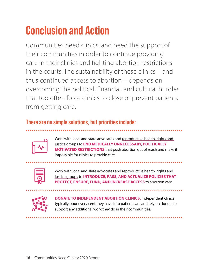# <span id="page-17-0"></span>**Conclusion and Action**

Communities need clinics, and need the support of their communities in order to continue providing care in their clinics and fighting abortion restrictions in the courts. The sustainability of these clinics—and thus continued access to abortion—depends on overcoming the political, financial, and cultural hurdles that too often force clinics to close or prevent patients from getting care.

#### **There are no simple solutions, but priorities include:**



Work with local and state advocates and reproductive health, rights and [justice groups](https://www.abortioncarenetwork.org/ally-organizations/) to **END MEDICALLY UNNECESSARY, POLITICALLY MOTIVATED RESTRICTIONS** that push abortion out of reach and make it impossible for clinics to provide care.

| $\mathcal{L}^{\text{max}}_{\text{max}}$ and $\mathcal{L}^{\text{max}}_{\text{max}}$ and $\mathcal{L}^{\text{max}}_{\text{max}}$ |
|---------------------------------------------------------------------------------------------------------------------------------|
|                                                                                                                                 |

Work with local and state advocates and [reproductive health, rights and](https://www.abortioncarenetwork.org/ally-organizations/)  [justice groups](https://www.abortioncarenetwork.org/ally-organizations/) to **INTRODUCE, PASS, AND ACTUALIZE POLICIES THAT PROTECT, ENSURE, FUND, AND INCREASE ACCESS** to abortion care.



**DONATE TO [INDEPENDENT ABORTION CLINICS.](http://www.keepourclinics.org)** Independent clinics typically pour every cent they have into patient care and rely on donors to support any additional work they do in their communities.

\*\*\*\*\*\*\*\*\*\*\*\*\*\*\*\*\*\*\*\*\*\*\*\*\*\*\*\*\*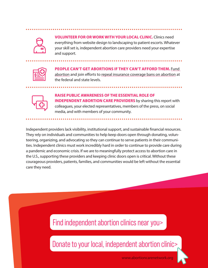

**VOLUNTEER FOR OR WORK WITH YOUR LOCAL CLINIC.** Clinics need everything from website design to landscaping to patient escorts. Whatever your skill set is, independent abortion care providers need your expertise and support.

| and the state of the state of the state of the state of the state of the state of the state of the state of th |
|----------------------------------------------------------------------------------------------------------------|
|                                                                                                                |
|                                                                                                                |
|                                                                                                                |

**PEOPLE CAN'T GET ABORTIONS IF THEY CAN'T AFFORD THEM.** [Fund](https://abortionfunds.org/)  [abortion](https://abortionfunds.org/) and join efforts to [repeal insurance coverage bans on abortion](https://allaboveall.org/) at the federal and state levels.



**RAISE PUBLIC AWARENESS OF THE ESSENTIAL ROLE OF INDEPENDENT ABORTION CARE PROVIDERS** by sharing this report with colleagues, your elected representatives, members of the press, on social media, and with members of your community.

Independent providers lack visibility, institutional support, and sustainable financial resources. They rely on individuals and communities to help keep doors open through donating, volunteering, organizing, and advocating so they can continue to serve patients in their communities. Independent clinics must work incredibly hard in order to continue to provide care during a pandemic and economic crisis. If we are to meaningfully protect access to abortion care in the U.S., supporting these providers and keeping clinic doors open is critical. Without these courageous providers, patients, families, and communities would be left without the essential care they need.

### [Find independent abortion clinics near you>](https://abortioncarenetwork.org/find-a-clinic/)

[Donate to your local, independent abortion clinic>](http://www.keepourclinics.org)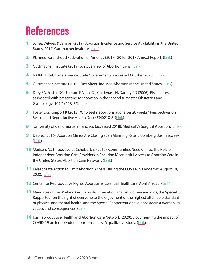### <span id="page-19-0"></span>**References**

- 1 Jones, Witwer, & Jerman (2019). Abortion Incidence and Service Availability in the United States, 2017, Guttmacher Institute. [\(Link\)](https://www.guttmacher.org/report/abortion-incidence-service-availability-us-2017)
- 2 Planned Parenthood Federation of America (2017). 2016 2017 Annual Report. [\(Link](https://www.plannedparenthood.org/uploads/filer_public/71/53/7153464c-8f5d-4a26-bead-2a0dfe2b32ec/20171229_ar16-17_p01_lowres.pdf))
- **3** Guttmacher Institute (2019). An Overview of Abortion Laws. ([Link](https://www.guttmacher.org/state-policy/explore/overview-abortion-laws))
- 4 NARAL Pro-Choice America. State Governments. (accessed October 2020) [\(Link\)](https://www.prochoiceamerica.org/laws-policy/state-government/)
- 5 Guttmacher Institute (2019). Fact Sheet: Induced Abortion in the United States. [\(Link](https://www.guttmacher.org/fact-sheet/induced-abortion-united-states))
- 6 Drey EA, Foster DG, Jackson RA, Lee SJ, Cardenas LH, Darney PD (2006). Risk factors associated with presenting for abortion in the second trimester. Obstetrics and Gynecology; 107(1):128–35. [\(Link\)](https://www.ncbi.nlm.nih.gov/pubmed/16394050)
- 7 Foster DG, Kimport K (2013). Who seeks abortions at or after 20 weeks? Perspectives on Sexual and Reproductive Health Dec; 45(4):210-8. ([Link](https://www.ncbi.nlm.nih.gov/pubmed/24188634))
- 8 University of California San Francisco (accessed 2018). Medical Vs Surgical Abortion. [\(Link\)](https://www.ucsfhealth.org/education/medical_versus_surgical_abortion/)
- 9 Deprez (2016). Abortion Clinics Are Closing at an Alarming Rate. Bloomberg Businessweek. ([Link](https://www.bloomberg.com/news/articles/2016-02-24/abortion-clinics-are-closing-at-a-record-pace))
- 10 Madsen, N., Thibodeau, J., Schubert, E. (2017). Communities Need Clinics: The Role of Independent Abortion Care Providers in Ensuring Meaningful Access to Abortion Care in the United States. Abortion Care Network. [\(Link](https://abortioncarenetwork.org/wp-content/uploads/2020/08/CommunitiesNeedClinics2017.pdf))
- 11 Kaiser, State Action to Limit Abortion Access During the COVID-19 Pandemic, August 10, 2020. ([Link](https://www.kff.org/coronavirus-covid-19/issue-brief/state-action-to-limit-abortion-access-during-the-covid-19-pandemic/))
- **12** Center for Reproductive Rights, Abortion is Essential Healthcare, April 7, 2020. [\(Link](http://reproductiverights.org/document/abortion-is-essential-health-care-access-is-imperative-during-covid-19))
- **13** Mandates of the Working Group on discrimination against women and girls; the Special Rapporteur on the right of everyone to the enjoyment of the highest attainable standard of physical and mental health; and the Special Rapporteur on violence against women, its causes and consequences. ([Link\)](https://spcommreports.ohchr.org/TMResultsBase/DownLoadPublicCommunicationFile?gId=25279)
- **14** Ibis Reproductive Health and Abortion Care Network (2020), Documenting the impact of COVID-19 on independent abortion clinics: A qualitative study, [\(Link\)](https://keepourclinics.org/wp-content/uploads/2020/11/ACN_Covidimpactreport_061920.pdf).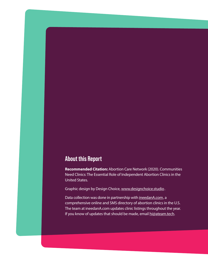#### **About this Report**

**Recommended Citation:** Abortion Care Network (2020). Communities Need Clinics: The Essential Role of Independent Abortion Clinics in the United States.

Graphic design by Design Choice, [www.designchoice.studio](http://www.designchoice.studio).

Data collection was done in partnership with [ineedanA.com](https://ineedana.com/), a comprehensive online and SMS directory of abortion clinics in the U.S. The team at ineedanA.com updates clinic listings throughout the year. If you know of updates that should be made, email [hi@ateam.tech](http://hi@ateam.tech).